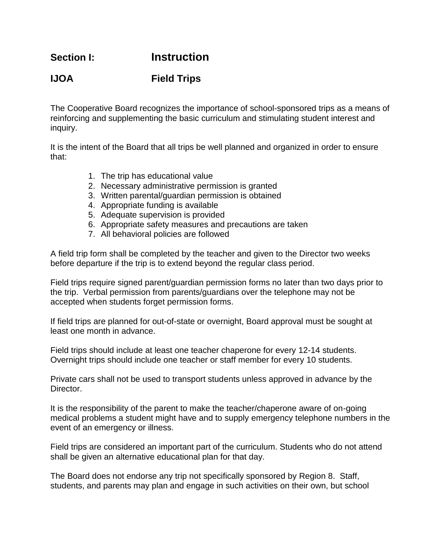**Section I: Instruction**

## **IJOA Field Trips**

The Cooperative Board recognizes the importance of school-sponsored trips as a means of reinforcing and supplementing the basic curriculum and stimulating student interest and inquiry.

It is the intent of the Board that all trips be well planned and organized in order to ensure that:

- 1. The trip has educational value
- 2. Necessary administrative permission is granted
- 3. Written parental/guardian permission is obtained
- 4. Appropriate funding is available
- 5. Adequate supervision is provided
- 6. Appropriate safety measures and precautions are taken
- 7. All behavioral policies are followed

A field trip form shall be completed by the teacher and given to the Director two weeks before departure if the trip is to extend beyond the regular class period.

Field trips require signed parent/guardian permission forms no later than two days prior to the trip. Verbal permission from parents/guardians over the telephone may not be accepted when students forget permission forms.

If field trips are planned for out-of-state or overnight, Board approval must be sought at least one month in advance.

Field trips should include at least one teacher chaperone for every 12-14 students. Overnight trips should include one teacher or staff member for every 10 students.

Private cars shall not be used to transport students unless approved in advance by the Director.

It is the responsibility of the parent to make the teacher/chaperone aware of on-going medical problems a student might have and to supply emergency telephone numbers in the event of an emergency or illness.

Field trips are considered an important part of the curriculum. Students who do not attend shall be given an alternative educational plan for that day.

The Board does not endorse any trip not specifically sponsored by Region 8. Staff, students, and parents may plan and engage in such activities on their own, but school